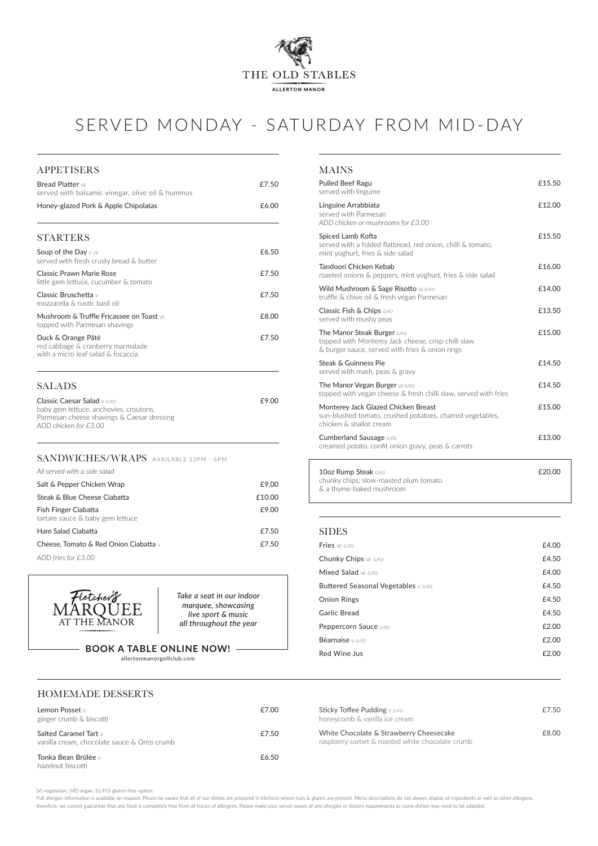

# SERVED MONDAY - SATURDAY FROM MID-DAY

#### HOMEMADE DESSERTS

| All served with a side salad                             |        |
|----------------------------------------------------------|--------|
| Salt & Pepper Chicken Wrap                               | £9.00  |
| Steak & Blue Cheese Ciabatta                             | £10.00 |
| Fish Finger Ciabatta<br>tartare sauce & baby gem lettuce | £9.00  |
| Ham Salad Ciabatta                                       | £7.50  |
| Cheese, Tomato & Red Onion Ciabatta $\vee$               | £7.50  |
| ADD fries for £3.00                                      |        |



#### MAINS

| Pulled Beef Ragu<br>served with linguine                                                                                                     | £15.50 |
|----------------------------------------------------------------------------------------------------------------------------------------------|--------|
| Linguine Arrabbiata<br>served with Parmesan<br>ADD chicken or mushrooms for £3.00                                                            | £12.00 |
| Spiced Lamb Kofta<br>served with a folded flatbread, red onion, chilli & tomato,<br>mint yoghurt, fries & side salad                         | £15.50 |
| Tandoori Chicken Kebab<br>roasted onions & peppers, mint yoghurt, fries & side salad                                                         | £16.00 |
| Wild Mushroom & Sage Risotto VE G/FO<br>truffle & chive oil & fresh vegan Parmesan                                                           | £14.00 |
| Classic Fish & Chips G/FO<br>served with mushy peas                                                                                          | £13.50 |
| <b>The Manor Steak Burger G/FO</b><br>topped with Monterey Jack cheese, crisp chilli slaw<br>& burger sauce, served with fries & onion rings | £15.00 |
| Steak & Guinness Pie<br>served with mash, peas & gravy                                                                                       | £14.50 |
| <b>The Manor Vegan Burger VE G/FO</b><br>topped with vegan cheese & fresh chilli slaw, served with fries                                     | £14.50 |
| Monterey Jack Glazed Chicken Breast<br>sun-blushed tomato, crushed potatoes, charred vegetables,<br>chicken & shallot cream                  | £15.00 |
| Cumberland Sausage G/FO<br>creamed potato, confit onion gravy, peas & carrots                                                                | £13.00 |
| 10oz Rump Steak G/FO                                                                                                                         | £20.00 |

Full allergen information is available on request. Please be aware that all of our dishes are prepared in kitchens where nuts & gluten are present. Menu descriptions do not always display all ingredients as well as other a therefore, we cannot guarantee that any food is completely free from all traces of allergens. Please make your server aware of any allergies or dietary requirements as some dishes may need to be adapted.

| 10oz Rump Steak G/F0                                               | £20.00 |
|--------------------------------------------------------------------|--------|
| chunky chips, slow-roasted plum tomato<br>& a thyme-baked mushroom |        |
|                                                                    |        |

## SANDWICHES/WRAPS AVAILABLE 12PM - 6PM SALADS Classic Caesar Salad *v G/FO* **£9.00** baby gem lettuce, anchovies, croutons, Parmesan cheese shavings & Caesar dressing *ADD chicken for £3.00* APPETISERS Bread Platter *VE* **E7.50** served with balsamic vinegar, olive oil & hummus Honey-glazed Pork & Apple Chipolatas <br>
£6.00 STARTERS Soup of the Day *V VE* **E6.50** served with fresh crusty bread & butter Classic Prawn Marie Rose **EXASS EXASS EXASS EXASS** little gem lettuce, cucumber & tomato Classic Bruschetta *v* **£7.50** mozzarella & rustic basil oil Mushroom & Truffle Fricassee on Toast *VE* **E8.00** topped with Parmesan shavings Duck & Orange Pâté **E7.50** red cabbage & cranberry marmalade with a micro leaf salad & focaccia

(V) vegetarian, (VE) vegan, (G/FO) gluten-free option.

#### SIDES

| Fries VE G/FO                         | £4.00 |
|---------------------------------------|-------|
| Chunky Chips VE G/FO                  | £4.50 |
| Mixed Salad $VFG/FO$                  | £4.00 |
| Buttered Seasonal Vegetables $v$ G/Fo | £4.50 |
| <b>Onion Rings</b>                    | £4.50 |
| Garlic Bread                          | £4.50 |
| Peppercorn Sauce G/FO                 | £2.00 |
|                                       |       |

| Lemon Posset $\lor$<br>ginger crumb & biscotti                            | £7.00 | <b>Sticky Toffee Pudding</b> $v$ $\epsilon$ / <b>F</b> o<br>honeycomb & vanilla ice cream   | £7.50 |
|---------------------------------------------------------------------------|-------|---------------------------------------------------------------------------------------------|-------|
| Salted Caramel Tart $\vee$<br>vanilla cream, chocolate sauce & Oreo crumb | £7.50 | White Chocolate & Strawberry Cheesecake<br>raspberry sorbet & roasted white chocolate crumb | £8.00 |
| Tonka Bean Brûlée v<br>hazelnut biscotti                                  | £6.50 |                                                                                             |       |

*Take a seat in our indoor marquee, showcasing live sport & music all throughout the year*

#### **BOOK A TABLE ONLINE NOW!**

allertonmanorgolfclub.com

| Béarnaise v G/FO | £2.00 |
|------------------|-------|
|                  |       |

Red Wine Jus **E2.00**